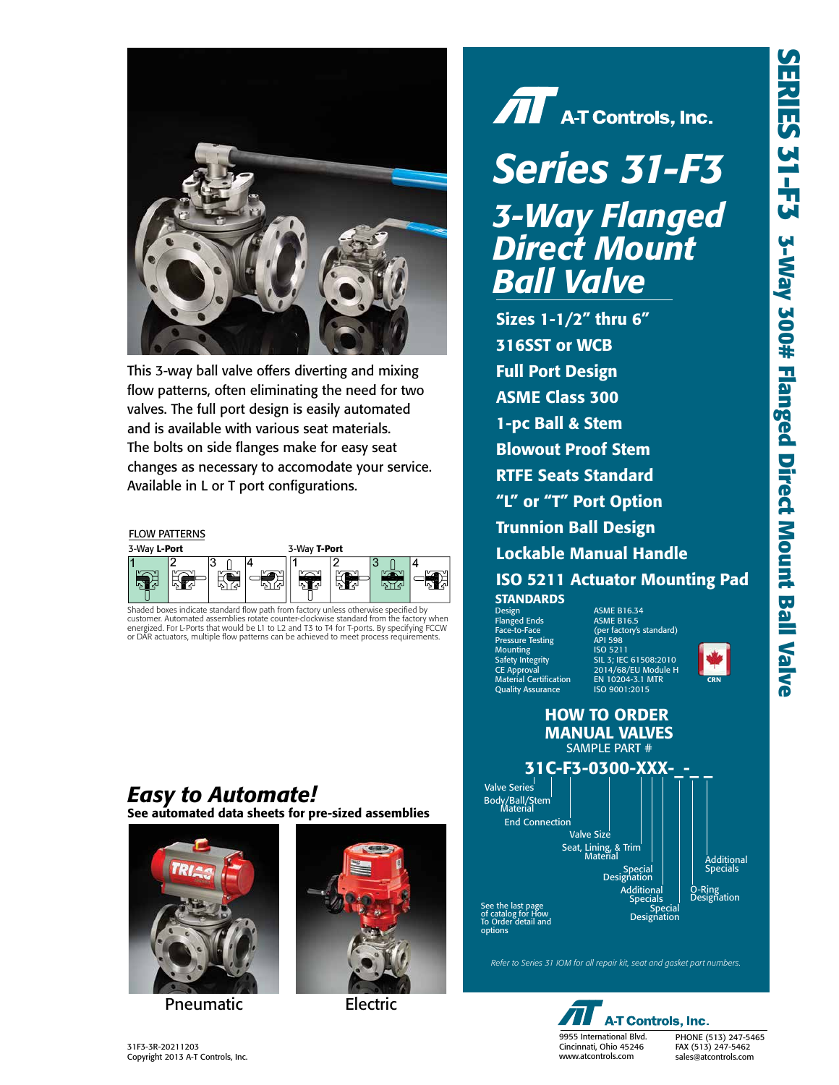

This 3-way ball valve offers diverting and mixing flow patterns, often eliminating the need for two valves. The full port design is easily automated and is available with various seat materials. The bolts on side flanges make for easy seat changes as necessary to accomodate your service. Available in L or T port configurations.



Shaded boxes indicate standard flow path from factory unless otherwise specified by customer. Automated assemblies rotate counter-clockwise standard from the factory when energized. For L-Ports that would be L1 to L2 and T3 to T4 for T-ports. By specifying FCCW or DAR actuators, multiple flow patterns can be achieved to meet process requirements.

### *Easy to Automate!*

See automated data sheets for pre-sized assemblies



Pneumatic Electric





# *Series 31-F3 3-Way Flanged Direct Mount Ball Valve*

Sizes 1-1/2" thru 6" 316SST or WCB Full Port Design ASME Class 300 1-pc Ball & Stem Blowout Proof Stem RTFE Seats Standard "L" or "T" Port Option Trunnion Ball Design Lockable Manual Handle ISO 5211 Actuator Mounting Pad **STANDARDS** Design **ASME B16.34** 

**Friday**<br>Design<br>Flanged Ends<br>Face-to-Face Pressure Testing Testing<br>Mounting Testing API 598 Mounting<br>Safety Integrity CE Approval 2014/68/EU M<br>
Material Certification EN 10204-3.1 M<br>
Quality Assurance ISO 9001-2015 **Ouality Assurance** 

Face-to-Face (per factory's standard) SIL 3: IEC 61508:2010 2014/68/EU Module H<br>EN 10204-3.1 MTR





*Refer to Series 31 IOM for all repair kit, seat and gasket part numbers.*

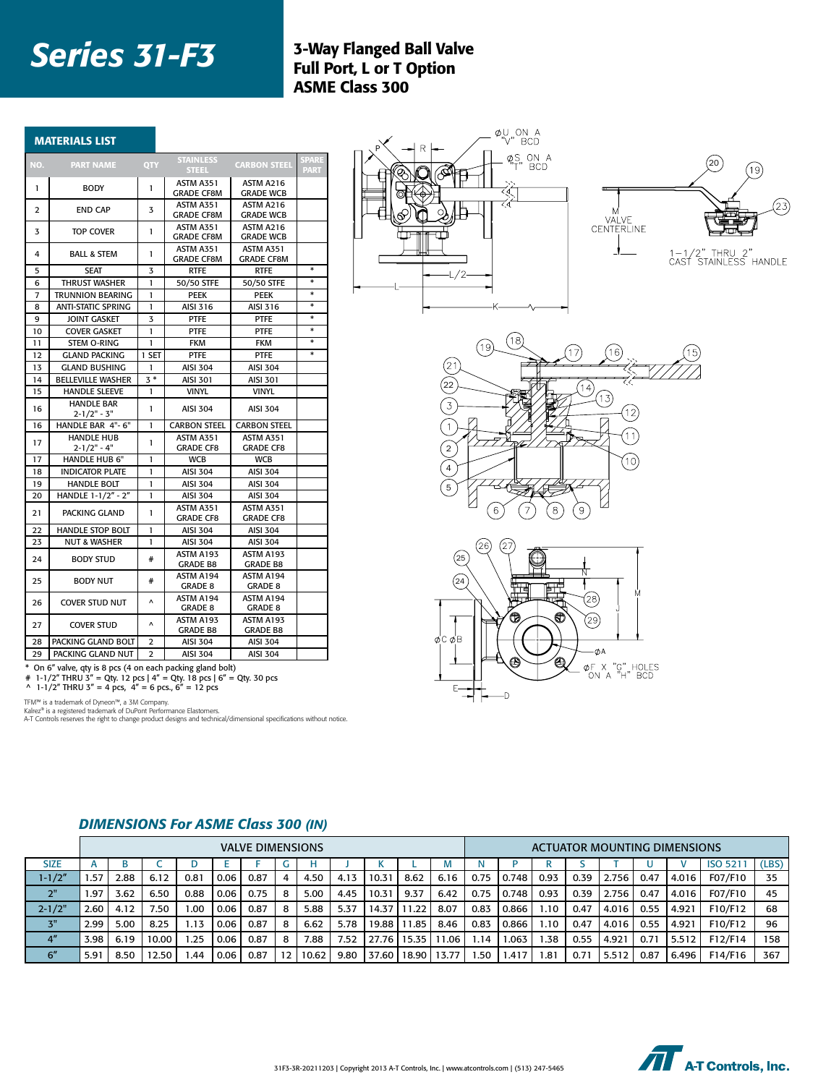## **Series 31-F3** 3-Way Flanged Ball Valve

## Full Port, L or T Option ASME Class 300

|                | <b>MATERIALS LIST</b>                                                                                                                 |                       |                                       |                                |                     | $\varphi_{\neg\bigvee\hspace{-0.14cm}\mid\hspace{0.14cm}\neg\mathsf{P}}^{\mathsf{U}}$ on a |
|----------------|---------------------------------------------------------------------------------------------------------------------------------------|-----------------------|---------------------------------------|--------------------------------|---------------------|--------------------------------------------------------------------------------------------|
| NO.            | <b>PART NAME</b>                                                                                                                      | QTY                   | <b>STAINLESS</b><br><b>STEEL</b>      | <b>CARBON STEE</b>             | PARE<br><b>PART</b> | $\phi_{\tau}^{\text{S}}$ , ON A<br>$\widehat{\mathcal{S}}$<br>Q.                           |
| $\mathbf{1}$   | <b>BODY</b>                                                                                                                           | $\mathbf{1}$          | <b>ASTM A351</b><br><b>GRADE CF8M</b> | ASTM A216<br><b>GRADE WCB</b>  |                     | ব্∢<br>6                                                                                   |
| 2              | <b>END CAP</b>                                                                                                                        | 3                     | <b>ASTM A351</b><br><b>GRADE CF8M</b> | ASTM A216<br><b>GRADE WCB</b>  |                     | ZE<br>ఈ<br><b>VALVE</b>                                                                    |
| 3              | <b>TOP COVER</b>                                                                                                                      | $\mathbf{1}$          | <b>ASTM A351</b><br><b>GRADE CF8M</b> | ASTM A216<br><b>GRADE WCB</b>  |                     | CENTERLINE                                                                                 |
| 4              | <b>BALL &amp; STEM</b>                                                                                                                | $\mathbf{1}$          | ASTM A351<br><b>GRADE CF8M</b>        | ASTM A351<br><b>GRADE CF8M</b> |                     |                                                                                            |
| 5              | <b>SEAT</b>                                                                                                                           | 3                     | <b>RTFE</b>                           | <b>RTFE</b>                    | $\ast$              |                                                                                            |
| 6              | <b>THRUST WASHER</b>                                                                                                                  | $\mathbf{1}$          | 50/50 STFE                            | 50/50 STFE                     | $\ast$              |                                                                                            |
| $\overline{7}$ | TRUNNION BEARING                                                                                                                      | $\mathbf{1}$          | <b>PEEK</b>                           | <b>PEEK</b>                    | $\ast$              |                                                                                            |
| 8              | <b>ANTI-STATIC SPRING</b>                                                                                                             | $\mathbf{1}$          | AISI 316                              | AISI 316                       | $\ast$              |                                                                                            |
| 9              | <b>JOINT GASKET</b>                                                                                                                   | 3                     | <b>PTFE</b>                           | PTFE                           | $\ast$              |                                                                                            |
| 10             | <b>COVER GASKET</b>                                                                                                                   | $\mathbf{1}$          | <b>PTFE</b>                           | <b>PTFE</b>                    | $\ast$              |                                                                                            |
| 11             | STEM O-RING                                                                                                                           | $\mathbf{1}$          | <b>FKM</b>                            | <b>FKM</b>                     | $\ast$              | 18<br>19                                                                                   |
| 12             | <b>GLAND PACKING</b>                                                                                                                  | 1 SET                 | PTFE                                  | <b>PTFE</b>                    | $\ast$              | 16                                                                                         |
| 13             | <b>GLAND BUSHING</b>                                                                                                                  | -1                    | <b>AISI 304</b>                       | <b>AISI 304</b>                |                     | $^{'}21$                                                                                   |
| 14             | <b>BELLEVILLE WASHER</b>                                                                                                              | $3*$                  | AISI 301                              | <b>AISI 301</b>                |                     | 22                                                                                         |
| 15             | <b>HANDLE SLEEVE</b>                                                                                                                  | $\mathbf{1}$          | <b>VINYL</b>                          | <b>VINYL</b>                   |                     | 14<br>13                                                                                   |
| 16             | <b>HANDLE BAR</b><br>$2 - 1/2" - 3"$                                                                                                  | $\mathbf{1}$          | <b>AISI 304</b>                       | <b>AISI 304</b>                |                     | $\left(3\right)$<br>12                                                                     |
| 16             | HANDLE BAR 4"- 6"                                                                                                                     | $\mathbf{1}$          | <b>CARBON STEEL</b>                   | <b>CARBON STEEL</b>            |                     | 1                                                                                          |
| 17             | <b>HANDLE HUB</b><br>$2 - 1/2" - 4"$                                                                                                  | 1                     | <b>ASTM A351</b><br><b>GRADE CF8</b>  | ASTM A351<br><b>GRADE CF8</b>  |                     | 11<br>$\sqrt{2}$                                                                           |
| 17             | <b>HANDLE HUB 6"</b>                                                                                                                  | $\mathbf{1}$          | <b>WCB</b>                            | <b>WCB</b>                     |                     | (10)                                                                                       |
| 18             | <b>INDICATOR PLATE</b>                                                                                                                | $\mathbf{1}$          | AISI 304                              | <b>AISI 304</b>                |                     | 4                                                                                          |
| 19             | <b>HANDLE BOLT</b>                                                                                                                    | $\mathbf{1}$          | <b>AISI 304</b>                       | <b>AISI 304</b>                |                     | 5                                                                                          |
| 20             | HANDLE 1-1/2" - 2"                                                                                                                    | 1                     | <b>AISI 304</b>                       | <b>AISI 304</b>                |                     |                                                                                            |
| 21             | PACKING GLAND                                                                                                                         | 1.                    | ASTM A351<br><b>GRADE CF8</b>         | ASTM A351<br><b>GRADE CF8</b>  |                     | 8<br>9<br>6                                                                                |
| 22             | <b>HANDLE STOP BOLT</b>                                                                                                               | $\mathbf{1}$          | AISI 304                              | AISI 304                       |                     |                                                                                            |
| 23             | <b>NUT &amp; WASHER</b>                                                                                                               | $\mathbf{1}$          | <b>AISI 304</b>                       | <b>AISI 304</b>                |                     | 26<br>27                                                                                   |
| 24             | <b>BODY STUD</b>                                                                                                                      | #                     | ASTM A193<br><b>GRADE B8</b>          | ASTM A193<br><b>GRADE B8</b>   |                     | (25                                                                                        |
| 25             | <b>BODY NUT</b>                                                                                                                       | #                     | ASTM A194<br><b>GRADE 8</b>           | ASTM A194<br><b>GRADE 8</b>    |                     | N<br>(24)                                                                                  |
| 26             | <b>COVER STUD NUT</b>                                                                                                                 | $\boldsymbol{\wedge}$ | ASTM A194<br><b>GRADE 8</b>           | ASTM A194<br>GRADE 8           |                     | $^{(28)}$                                                                                  |
| 27             | <b>COVER STUD</b>                                                                                                                     | $\boldsymbol{\wedge}$ | ASTM A193<br><b>GRADE B8</b>          | ASTM A193<br><b>GRADE B8</b>   |                     | ❺<br>(29)                                                                                  |
| 28             | PACKING GLAND BOLT                                                                                                                    | $\overline{2}$        | AISI 304                              | AISI 304                       |                     | $\phi$ C $\phi$ B                                                                          |
| 29             | PACKING GLAND NUT                                                                                                                     | $\overline{2}$        | <b>AISI 304</b>                       | <b>AISI 304</b>                |                     | ØΑ                                                                                         |
|                | On 6" valve, qty is 8 pcs (4 on each packing gland bolt)<br>$\#$ 1-1/2" THRU 3" = Otv. 12 pcs $4''$ = Otv. 18 pcs $6''$ = Otv. 30 pcs |                       |                                       |                                |                     | ⊛<br>ØF X "G" HOLES<br>ON A "H" BCD                                                        |

\* On 6" valve, qty is 8 pcs (4 on each packing gland bolt)<br># 1-1/2" THRU 3" = Qty. 12 pcs | 4" = Qty. 18 pcs | 6" = Qty. 30 pcs<br>^ 1-1/2" THRU 3" = 4 pcs, 4" = 6 pcs., 6" = 12 pcs

TFM™ is a trademark of Dyneon™, a 3M Company.<br>Kalrez® is a registered trademark of DuPont Performance Elastomers.<br>A-T Controls reserves the right to change product designs and technical/dimensional specifications without n

|             |      | <b>VALVE DIMENSIONS</b> |       |       |      |      |   |       |      |        |       |       |      | <b>ACTUATOR MOUNTING DIMENSIONS</b> |      |      |        |      |       |          |       |
|-------------|------|-------------------------|-------|-------|------|------|---|-------|------|--------|-------|-------|------|-------------------------------------|------|------|--------|------|-------|----------|-------|
| <b>SIZE</b> |      | D                       |       |       |      |      |   |       |      |        |       |       |      |                                     |      |      |        |      |       | ISO 5211 | (LBS) |
| $1 - 1/2"$  | .57  | 2.88                    | 6.12  | 0.81  | 0.06 | 0.87 | 4 | 4.50  | 4.13 | 10.31  | 8.62  | 6.16  | 0.75 | 0.748                               | 0.93 | 0.39 | 2.756  | 0.47 | 4.016 | F07/F10  | 35    |
|             | 97.، | 3.62                    | 6.50  | 0.88  | 0.06 | 0.75 | 8 | 5.00  | 4.45 | 10.31  | 9.37  | 6.42  | 0.75 | 0.748                               | 0.93 | 0.39 | 2.756  | 0.47 | 4.016 | F07/F10  | 45    |
| $2 - 1/2"$  | 2.60 | 4.12                    | 7.50  | 1.00  | 0.06 | 0.87 | 8 | 5.88  | 5.37 | 14.37. | 11.22 | 8.07  | 0.83 | 0.866                               | 1.10 | 0.47 | 4.016  | 0.55 | 4.921 | F10/F12  | 68    |
| 3"          | 2.99 | 5.00                    | 8.25  | 1.13  | 0.06 | 0.87 | 8 | 6.62  | 5.78 | 19.88  | 11.85 | 8.46  | 0.83 | 0.866                               | 1.10 | 0.47 | 4.016  | 0.55 | 4.921 | F10/F12  | 96    |
| 4''         | 3.98 | 6.19                    | 10.00 | 1.25  | 0.06 | 0.87 | 8 | 7.88  | 7.52 | 27.76  | 15.35 | 11.06 | 1.14 | 1.063                               | 1.38 | 0.55 | 4.921  | 0.71 | 5.512 | F12/F14  | 158   |
| 6''         | 5.91 | 8.50                    | 12.50 | 44. ا | 0.06 | 0.87 |   | 10.62 | 9.80 | 37.60  | 18.90 | 13.77 | 1.50 | 1.417                               | 1.81 | 0.71 | 5.512. | 0.87 | 6.496 | F14/F16  | 367   |

### *DIMENSIONS For ASME Class 300 (IN)*



20

1-1/2" THRU 2"<br>CAST STAINLESS HANDLE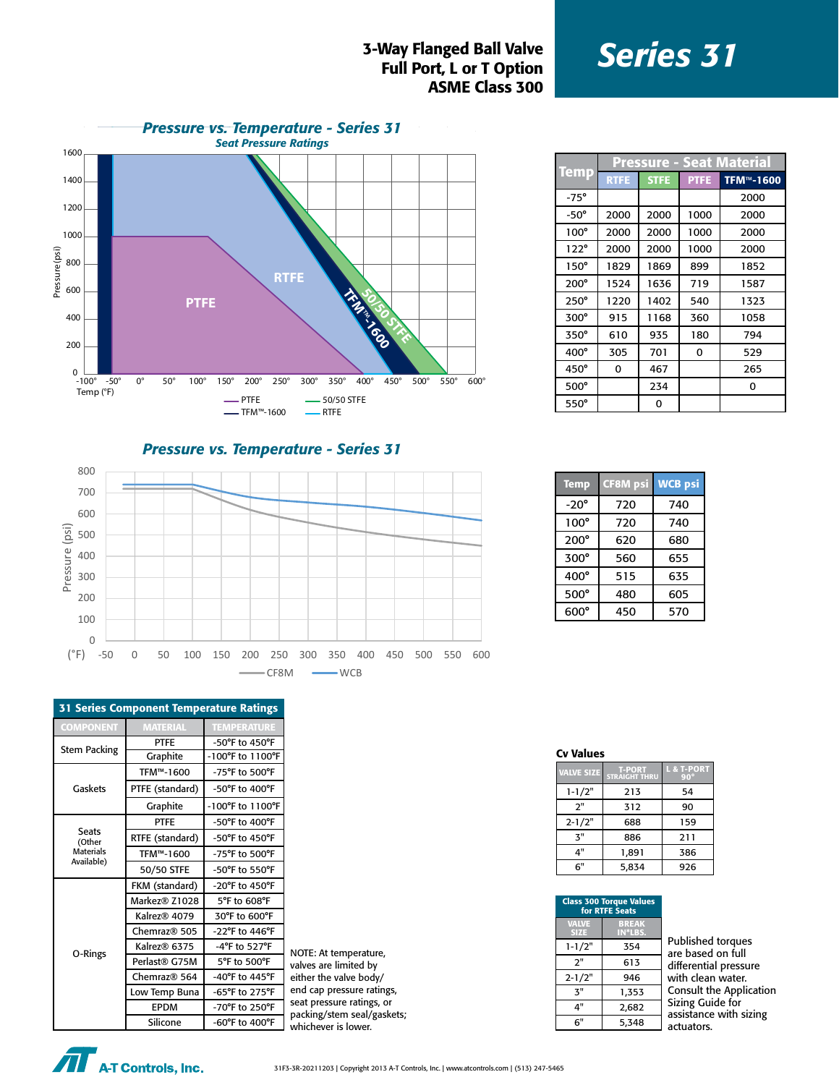### **S-Way Flanged Ball Valve**<br>**Series 31** Full Port, L or T Option ASME Class 300



|             | <b>Pressure - Seat Material</b> |             |             |                  |  |  |
|-------------|---------------------------------|-------------|-------------|------------------|--|--|
| <b>Temp</b> | <b>RTFE</b>                     | <b>STFE</b> | <b>PTFE</b> | <b>TFM™-1600</b> |  |  |
| $-75^\circ$ |                                 |             |             | 2000             |  |  |
| $-50^\circ$ | 2000                            | 2000        | 1000        | 2000             |  |  |
| $100^\circ$ | 2000                            | 2000        | 1000        | 2000             |  |  |
| $122^\circ$ | 2000                            | 2000        | 1000        | 2000             |  |  |
| $150^\circ$ | 1829                            | 1869        | 899         | 1852             |  |  |
| $200^\circ$ | 1524                            | 1636        | 719         | 1587             |  |  |
| $250^\circ$ | 1220                            | 1402        | 540         | 1323             |  |  |
| 300°        | 915                             | 1168        | 360         | 1058             |  |  |
| 350°        | 610                             | 935         | 180         | 794              |  |  |
| 400°        | 305                             | 701         | 0           | 529              |  |  |
| $450^\circ$ | 0                               | 467         |             | 265              |  |  |
| $500^\circ$ |                                 | 234         |             | 0                |  |  |
| $550^\circ$ |                                 | 0           |             |                  |  |  |

*Pressure vs. Temperature - Series 31*



| <b>Temp</b> | <u>CF</u> 8M psi | <b>WCB</b> psi |
|-------------|------------------|----------------|
| -20°        | 720              | 740            |
| $100^\circ$ | 720              | 740            |
| $200^\circ$ | 620              | 680            |
| $300^\circ$ | 560              | 655            |
| 400°        | 515              | 635            |
| $500^\circ$ | 480              | 605            |
| $600^\circ$ | 450              | 570            |

| <b>31 Series Component Temperature Ratings</b> |                           |                                      |  |  |
|------------------------------------------------|---------------------------|--------------------------------------|--|--|
| <b>COMPONENT</b>                               | <b>MATERIAL</b>           | <b>TEMPERATURE</b>                   |  |  |
| <b>Stem Packing</b>                            | <b>PTFF</b>               | $-50^{\circ}$ F to $450^{\circ}$ F   |  |  |
|                                                | Graphite                  | -100°F to 1100°F                     |  |  |
|                                                | TFM™-1600                 | -75°F to 500°F                       |  |  |
| Gaskets                                        | PTFE (standard)           | $-50^{\circ}$ F to $400^{\circ}$ F   |  |  |
|                                                | Graphite                  | $-100^{\circ}$ F to $1100^{\circ}$ F |  |  |
|                                                | <b>PTFE</b>               | $-50^{\circ}$ F to $400^{\circ}$ F   |  |  |
| <b>Seats</b><br>(Other                         | RTFE (standard)           | -50°F to 450°F                       |  |  |
| <b>Materials</b><br>Available)                 | TFM™-1600                 | $-75^{\circ}$ F to $500^{\circ}$ F   |  |  |
|                                                | 50/50 STFE                | -50°F to 550°F                       |  |  |
|                                                | FKM (standard)            | $-20^{\circ}$ F to $450^{\circ}$ F   |  |  |
|                                                | Markez® Z1028             | 5°F to 608°F                         |  |  |
|                                                | Kalrez <sup>®</sup> 4079  | 30°F to 600°F                        |  |  |
|                                                | Chemraz <sup>®</sup> 505  | -22°F to 446°F                       |  |  |
|                                                | Kalrez® 6375              | $-4$ °F to 527°F                     |  |  |
| O-Rings                                        | Perlast <sup>®</sup> G75M | 5°F to 500°F                         |  |  |
|                                                | Chemraz <sup>®</sup> 564  | $-40^{\circ}$ F to $445^{\circ}$ F   |  |  |
|                                                | Low Temp Buna             | -65°F to 275°F                       |  |  |
|                                                | <b>EPDM</b>               | -70°F to 250°F                       |  |  |

Silicone | -60°F to 400°F

NOTE: At temperature, valves are limited by either the valve body/ end cap pressure ratings, seat pressure ratings, or packing/stem seal/gaskets; whichever is lower.

| Cv Values |  |
|-----------|--|
|           |  |

| <b>VALVE SIZE</b> | <b>T-PORT</b><br><b>STRAIGHT THRU</b> | L & T-PORT<br>$90^\circ$ |
|-------------------|---------------------------------------|--------------------------|
| $1 - 1/2"$        | 213                                   | 54                       |
| 2"                | 312                                   | 90                       |
| $2 - 1/2"$        | 688                                   | 159                      |
| $\mathbf{z}$ "    | 886                                   | 211                      |
| 4"                | 1.891                                 | 386                      |
| 6"                | 5,834                                 | 926                      |

|           | <b>Class 300 Torque Values</b><br>for RTFE Seats |                             |  |  |  |
|-----------|--------------------------------------------------|-----------------------------|--|--|--|
|           | <b>BREAK</b><br>IN*LBS.                          | <b>VALVE</b><br><b>SIZE</b> |  |  |  |
| Ρι<br>ar  | 354                                              | $1 - 1/2"$                  |  |  |  |
| di        | 613                                              | ን"                          |  |  |  |
| wi        | 946                                              | $2 - 1/2"$                  |  |  |  |
| C٥        | 1,353                                            | 3"                          |  |  |  |
| Si:<br>as | 2,682                                            | 4"                          |  |  |  |
| ar        | 5,348                                            | 6"                          |  |  |  |

ublished torques re based on full ifferential pressure ith clean water. onsult the Application izing Guide for ssistance with sizing actuators.

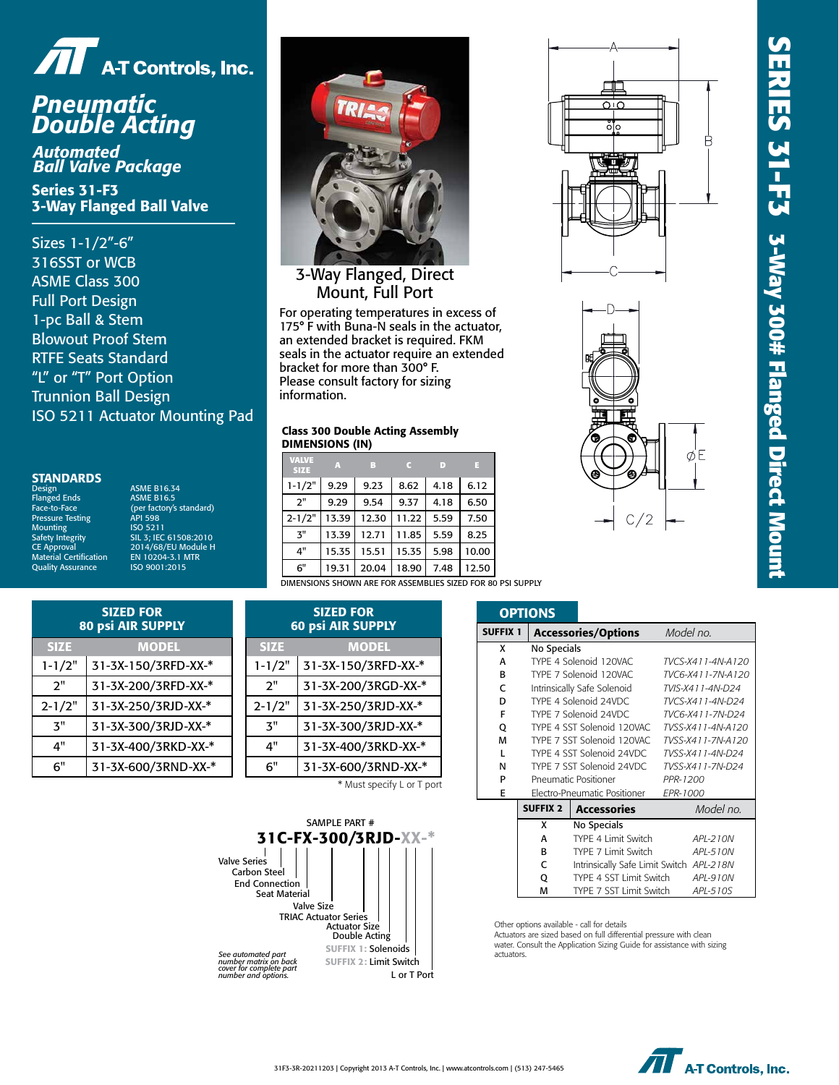



## *Pneumatic Double Acting*

*Automated Ball Valve Package* Series 31-F3

3-Way Flanged Ball Valve

Sizes 1-1/2"-6" 316SST or WCB ASME Class 300 Full Port Design 1-pc Ball & Stem Blowout Proof Stem RTFE Seats Standard "L" or "T" Port Option Trunnion Ball Design ISO 5211 Actuator Mounting Pad

### STANDARDS

Design ASME B16.34 Flanged Ends ASME B16.5 Pressure Testing API 598<br>Mounting 150 5211 Mounting<br>Safety Integrity CE Approval (2014/68/EU M<br>
Material Certification (2014-5.1 M<br>
Quality Assurance (2015-102015) Quality Assurance

Fanged Ends<br>
Face-to-Face<br>
Face-to-Face (per factory's standard)<br>
Pressure Testing API 598 SIL 3; IEC 61508:2010 2014/68/EU Module H<br>EN 10204-3.1 MTR



### 3-Way Flanged, Direct Mount, Full Port

For operating temperatures in excess of 175° F with Buna-N seals in the actuator, an extended bracket is required. FKM seals in the actuator require an extended bracket for more than 300° F. Please consult factory for sizing information.

### Class 300 Double Acting Assembly DIMENSIONS (IN)

| <b>VALVE</b><br><b>SIZE</b>                      | А     | B     |       | D    |       |
|--------------------------------------------------|-------|-------|-------|------|-------|
| $1 - 1/2"$                                       | 9.29  | 9.23  | 8.62  | 4.18 | 6.12  |
| 2"                                               | 9.29  | 9.54  | 9.37  | 4.18 | 6.50  |
| $2 - 1/2"$                                       | 13.39 | 12.30 | 11.22 | 5.59 | 7.50  |
| 3"                                               | 13.39 | 12.71 | 11.85 | 5.59 | 8.25  |
| 4"                                               | 15.35 | 15.51 | 15.35 | 5.98 | 10.00 |
| 6"                                               | 19.31 | 20.04 | 18.90 | 7.48 | 12.50 |
| DIMENCIONS SHOWN ARE EOR ASSEMBLIES SIZED EOR RO |       |       |       |      |       |

OR ASSEMBLIES SIZED FOR 80 PSI SUPPLY

| <b>SIZED FOR</b><br>80 psi AIR SUPPLY |                     |  |  |  |
|---------------------------------------|---------------------|--|--|--|
| <b>SIZE</b>                           | <b>MODEL</b>        |  |  |  |
| $1 - 1/2"$                            | 31-3X-150/3RFD-XX-* |  |  |  |
| 2"                                    | 31-3X-200/3RFD-XX-* |  |  |  |
| $2 - 1/2"$                            | 31-3X-250/3RJD-XX-* |  |  |  |
| ጞ"                                    | 31-3X-300/3RJD-XX-* |  |  |  |
| 4"                                    | 31-3X-400/3RKD-XX-* |  |  |  |
| 6"                                    | 31-3X-600/3RND-XX-* |  |  |  |

| <b>SIZED FOR</b><br><b>60 psi AIR SUPPLY</b> |                     |  |  |  |
|----------------------------------------------|---------------------|--|--|--|
| <b>SIZE</b>                                  | <b>MODEL</b>        |  |  |  |
| $1 - 1/2"$                                   | 31-3X-150/3RFD-XX-* |  |  |  |
| 2"                                           | 31-3X-200/3RGD-XX-* |  |  |  |
| $2 - 1/2"$                                   | 31-3X-250/3RJD-XX-* |  |  |  |
| ጞ"                                           | 31-3X-300/3RJD-XX-* |  |  |  |
| 4"                                           | 31-3X-400/3RKD-XX-* |  |  |  |
| 6"                                           | 31-3X-600/3RND-XX-* |  |  |  |
|                                              |                     |  |  |  |

\* Must specify L or T port







| <b>AT Controls, Inc.</b> |
|--------------------------|
|                          |

|                 | <b>OPTIONS</b>  |                                          |                   |  |
|-----------------|-----------------|------------------------------------------|-------------------|--|
| <b>SUFFIX 1</b> |                 | <b>Accessories/Options</b>               | Model no.         |  |
| x               | No Specials     |                                          |                   |  |
| А               |                 | TYPE 4 Solenoid 120VAC                   | TVCS-X411-4N-A120 |  |
| R               |                 | TYPE 7 Solenoid 120VAC                   | TVC6-X411-7N-A120 |  |
| $\mathsf{C}$    |                 | Intrinsically Safe Solenoid              | TVIS-X411-4N-D24  |  |
| D               |                 | TYPE 4 Solenoid 24VDC                    | TVCS-X411-4N-D24  |  |
| F               |                 | TYPE 7 Solenoid 24VDC                    | TVC6-X411-7N-D24  |  |
| o               |                 | TYPE 4 SST Solenoid 120VAC               | TVSS-X411-4N-A120 |  |
| M               |                 | TYPE 7 SST Solenoid 120VAC               | TVSS-X411-7N-A120 |  |
| L               |                 | TYPE 4 SST Solenoid 24VDC                | TVSS-X411-4N-D24  |  |
| N               |                 | TYPE 7 SST Solenoid 24VDC                | TVSS-X411-7N-D24  |  |
| P               |                 | <b>Pneumatic Positioner</b>              | PPR-1200          |  |
| E               |                 | Electro-Pneumatic Positioner             | EPR-1000          |  |
|                 | <b>SUFFIX 2</b> | <b>Accessories</b>                       | Model no.         |  |
|                 | x               | No Specials                              |                   |  |
|                 | А               | TYPE 4 Limit Switch                      | API-210N          |  |
|                 | в               | TYPE 7 Limit Switch                      | APL-510N          |  |
|                 |                 | Intrinsically Safe Limit Switch APL-218N |                   |  |

Other options available - call for details

Actuators are sized based on full differential pressure with clean water. Consult the Application Sizing Guide for assistance with sizing actuators.

Q TYPE 4 SST Limit Switch *APL-910N* M TYPE 7 SST Limit Switch *APL-510S*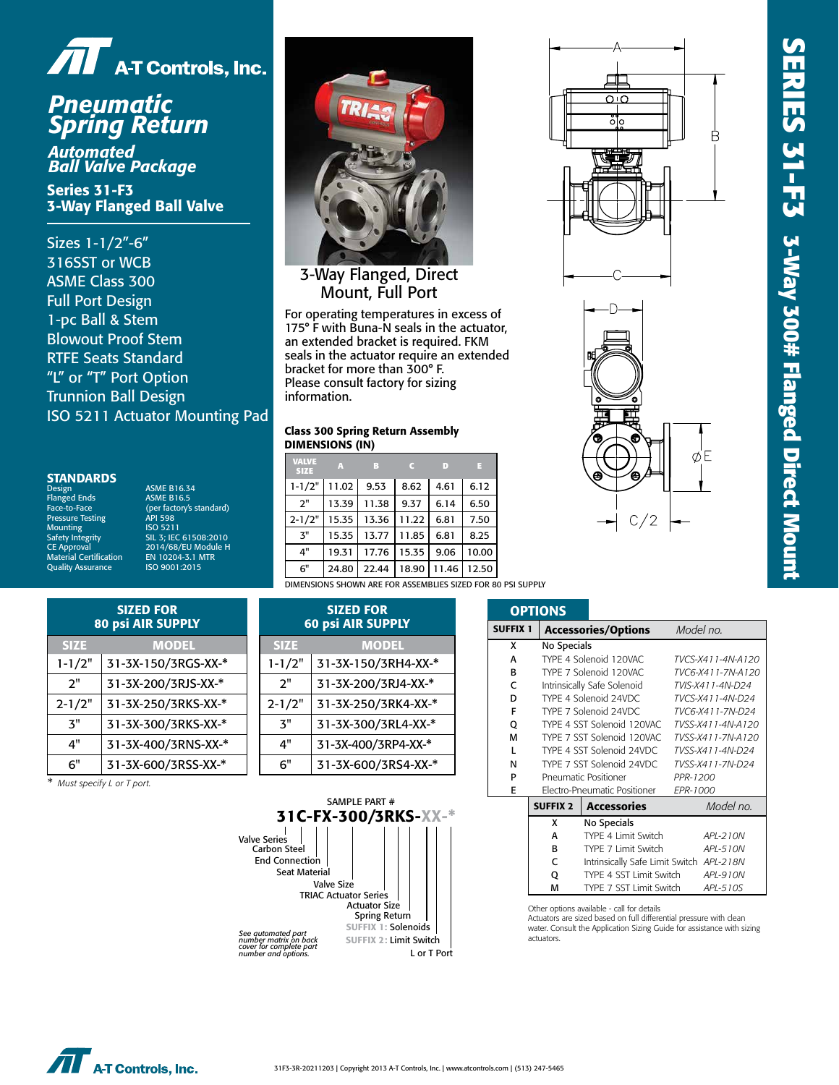



## *Pneumatic Spring Return*

*Automated Ball Valve Package*

Series 31-F3 3-Way Flanged Ball Valve

Sizes 1-1/2"-6" 316SST or WCB ASME Class 300 Full Port Design 1-pc Ball & Stem Blowout Proof Stem RTFE Seats Standard "L" or "T" Port Option Trunnion Ball Design ISO 5211 Actuator Mounting Pad

> SIZED FOR 80 psi AIR SUPPLY

SIZE MODEL  $1 - 1/2"$  31-3X-150/3RGS- $2"$  31-3X-200/3RJS-X 2-1/2" 31-3X-250/3RKS-X  $3''$  31-3X-300/3RKS-X  $4"$  31-3X-400/3RNS-6" 31-3X-600/3RSS-XX-\*

### **STANDARDS**<br>Design ASME B16.34

Flanged Ends Pressure Testing Testing API 598<br>Mounting 150 5211 Mounting<br>Safety Integrity Quality Assurance ISO 9001:2015

Fanged Ends<br>
Face-to-Face (per factory's standard)<br>
Pressure Testing (Pressure Testing API 598 SIL 3; IEC 61508:2010<br>2014/68/EU Module H CE Approval 2014/68/EU Module H Material Certification EN 10204-3.1 MTR

| dule H<br><b>TR</b>                           |  |                           | 4"                                | 19.31               | 17.76        | 15.35 | 9.06  | 10.00 |  |
|-----------------------------------------------|--|---------------------------|-----------------------------------|---------------------|--------------|-------|-------|-------|--|
|                                               |  |                           | 6"                                | 24.80               | 22.44        | 18.90 | 11.46 | 12.50 |  |
| DIMENSIONS SHOWN ARE FOR ASSEMBLIES SIZED FOR |  |                           |                                   |                     |              |       |       |       |  |
|                                               |  |                           |                                   | <b>SIZED FOR</b>    |              |       |       |       |  |
|                                               |  |                           |                                   | 60 psi AIR SUPPLY   |              |       |       |       |  |
|                                               |  |                           | <b>SIZE</b>                       |                     | <b>MODEL</b> |       |       |       |  |
| KX-*                                          |  |                           | $1 - 1/2"$<br>31-3X-150/3RH4-XX-* |                     |              |       |       |       |  |
| X-*                                           |  | 2"<br>31-3X-200/3RJ4-XX-* |                                   |                     |              |       |       |       |  |
| (X-*                                          |  |                           | $2 - 1/2"$<br>31-3X-250/3RK4-XX-* |                     |              |       |       |       |  |
| (X-*                                          |  |                           | 3"<br>31-3X-300/3RL4-XX-*         |                     |              |       |       |       |  |
| XX-*                                          |  |                           | 4"                                | 31-3X-400/3RP4-XX-* |              |       |       |       |  |

*Must specify L or T port.* 



6" 31-3X-600/3RS4-XX-\*

Class 300 Spring Return Assembly

bracket for more than 300° F. Please consult factory for sizing

**SIZE <sup>A</sup> <sup>B</sup> <sup>C</sup> <sup>D</sup> <sup>E</sup>**  $1-1/2$ " | 11.02 | 9.53 | 8.62 | 4.61 | 6.12  $2"$  13.39 11.38 9.37 6.14 6.50 2-1/2" 15.35 13.36 11.22 6.81 7.50  $3''$  | 15.35 | 13.77 | 11.85 | 6.81 | 8.25

For operating temperatures in excess of 175° F with Buna-N seals in the actuator, an extended bracket is required. FKM seals in the actuator require an extended

3-Way Flanged, Direct Mount, Full Port

DIMENSIONS (IN)

information.

**VALVE** 





|          | UPIIUNJ         |                                          |                   |  |
|----------|-----------------|------------------------------------------|-------------------|--|
| SUFFIX 1 |                 | <b>Accessories/Options</b>               | Model no.         |  |
| x        | No Specials     |                                          |                   |  |
| А        |                 | TYPE 4 Solenoid 120VAC                   | TVCS-X411-4N-A120 |  |
| в        |                 | TYPE 7 Solenoid 120VAC                   | TVC6-X411-7N-A120 |  |
| C        |                 | Intrinsically Safe Solenoid              | TVIS-X411-4N-D24  |  |
| D        |                 | TYPE 4 Solenoid 24VDC                    | TVCS-X411-4N-D24  |  |
| F        |                 | TYPE 7 Solenoid 24VDC                    | TVC6-X411-7N-D24  |  |
| Q        |                 | TYPE 4 SST Solenoid 120VAC               | TVSS-X411-4N-A120 |  |
| М        |                 | TYPE 7 SST Solenoid 120VAC               | TVSS-X411-7N-A120 |  |
| L        |                 | TYPE 4 SST Solenoid 24VDC                | TVSS-X411-4N-D24  |  |
| N        |                 | TYPE 7 SST Solenoid 24VDC                | TVSS-X411-7N-D24  |  |
| P        |                 | Pneumatic Positioner                     | PPR-1200          |  |
| E        |                 | Electro-Pneumatic Positioner             | EPR-1000          |  |
|          | <b>SUFFIX 2</b> | <b>Accessories</b>                       | Model no.         |  |
|          | x               | No Specials                              |                   |  |
|          | А               | TYPF 4 Limit Switch                      | APL-210N          |  |
|          | В               | TYPE 7 Limit Switch                      | APL-510N          |  |
|          | C               | Intrinsically Safe Limit Switch APL-218N |                   |  |
|          | Q               | TYPE 4 SST Limit Switch                  | <i>APL-910N</i>   |  |

Other options available - call for details

Actuators are sized based on full differential pressure with clean water. Consult the Application Sizing Guide for assistance with sizing actuators.

M TYPE 7 SST Limit Switch *APL-510S*



ASSEMBLIES SIZED FOR 80 PSI SUPPLY

**OPTIONS**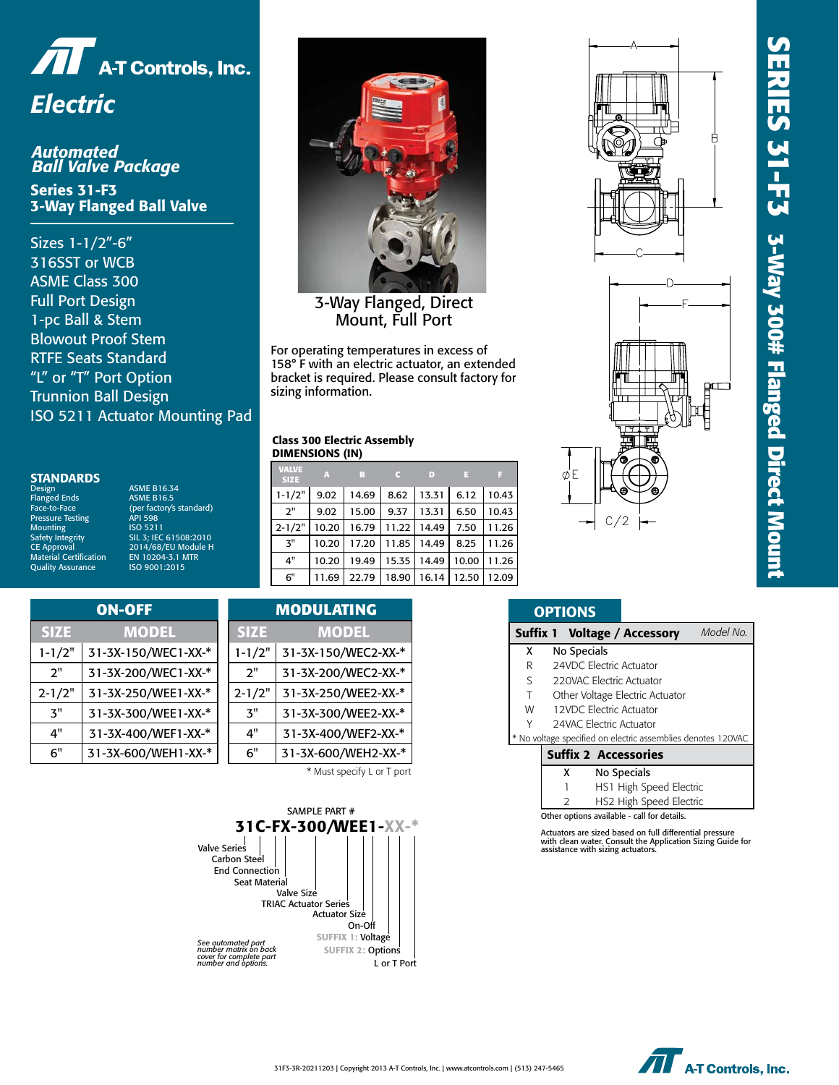



*Automated Ball Valve Package* Series 31-F3 3-Way Flanged Ball Valve

Sizes 1-1/2"-6" 316SST or WCB ASME Class 300 Full Port Design 1-pc Ball & Stem Blowout Proof Stem RTFE Seats Standard "L" or "T" Port Option Trunnion Ball Design ISO 5211 Actuator Mounting Pad

Design<br>Flanged Ends Pressure Testing API 598 Mounting<br>Safety Integrity CE Approval (2014/68/EU M<br>
Material Certification (2014-3.1)<br>
Quality Assurance (2015-102015) Quality Assurance

**STANDARDS**<br>Design ASME B16.34 Flanged Ends<br>
Face-to-Face (per factory's standard)<br>
Pressure Testing API 598 Safety Integrity SIL 3; IEC 61508:2010 CE Approval 2014/68/EU Module H



3-Way Flanged, Direct Mount, Full Port

For operating temperatures in excess of 158° F with an electric actuator, an extended bracket is required. Please consult factory for sizing information.

#### Class 300 Electric Assembly DIMENSIONS (IN)

| <b>VALVE</b><br><b>SIZE</b> | A     | B     |               | - 11           |       |       |
|-----------------------------|-------|-------|---------------|----------------|-------|-------|
| $1 - 1/2"$                  | 9.02  | 14.69 |               | $8.62$   13.31 | 6.12  | 10.43 |
| 2"                          | 9.02  | 15.00 | 9.37          | 13.31          | 6.50  | 10.43 |
| $2 - 1/2"$                  | 10.20 | 16.79 | 11.22   14.49 |                | 7.50  | 11.26 |
| 3"                          | 10.20 | 17.20 | 11.85         | 14.49          | 8.25  | 11.26 |
| 4"                          | 10.20 | 19.49 | 15.35         | 14.49          | 10.00 | 11.26 |
| 6"                          | 11.69 | 22.79 | 18.90         | 16.14          | 12.50 | 12.09 |

|             | <b>ON-OFF</b>       |             | <b>MODULATING</b> |
|-------------|---------------------|-------------|-------------------|
| <b>SIZE</b> | <b>MODEL</b>        | <b>SIZE</b> | <b>MODEL</b>      |
| $1 - 1/2"$  | 31-3X-150/WEC1-XX-* | $1 - 1/2"$  | 31-3X-150/WEC2    |
| 2"          | 31-3X-200/WEC1-XX-* | 2"          | 31-3X-200/WEC2    |
| $2 - 1/2"$  | 31-3X-250/WEE1-XX-* | $2 - 1/2"$  | 31-3X-250/WEE2    |
| 7"          | 31-3X-300/WEE1-XX-* | 3"          | 31-3X-300/WEE2    |
| 4"          | 31-3X-400/WEF1-XX-* | 4"          | 31-3X-400/WEF2    |
| 6"          | 31-3X-600/WEH1-XX-* | 6"          | 31-3X-600/WEH2    |

| <b>MODULATING</b> |                            |  |  |
|-------------------|----------------------------|--|--|
| <b>SIZE</b>       | <b>MODEL</b>               |  |  |
| $1 - 1/2"$        | 31-3X-150/WEC2-XX-*        |  |  |
| 2"                | 31-3X-200/WEC2-XX-*        |  |  |
| $2 - 1/2"$        | 31-3X-250/WEE2-XX-*        |  |  |
| 3"                | 31-3X-300/WEE2-XX-*        |  |  |
| 4"                | 31-3X-400/WEF2-XX-*        |  |  |
| 6"                | 31-3X-600/WEH2-XX-*        |  |  |
|                   | * Must specify L or T port |  |  |







### **OPTIONS**

|   |                         | <b>Suffix 1 Voltage / Accessory</b>                          | Model No. |  |  |  |
|---|-------------------------|--------------------------------------------------------------|-----------|--|--|--|
| x | No Specials             |                                                              |           |  |  |  |
| R |                         | 24VDC Electric Actuator                                      |           |  |  |  |
| S |                         | 220VAC Electric Actuator                                     |           |  |  |  |
| Т |                         | Other Voltage Electric Actuator                              |           |  |  |  |
| W |                         | 12VDC Electric Actuator                                      |           |  |  |  |
| γ | 24VAC Electric Actuator |                                                              |           |  |  |  |
|   |                         | * No voltage specified on electric assemblies denotes 120VAC |           |  |  |  |
|   |                         | <b>Suffix 2 Accessories</b>                                  |           |  |  |  |
|   | x                       | No Specials                                                  |           |  |  |  |
|   |                         | HS1 High Speed Electric                                      |           |  |  |  |
|   | っ                       | HS2 High Speed Electric                                      |           |  |  |  |

Other options available - call for details.

Actuators are sized based on full differential pressure with clean water. Consult the Application Sizing Guide for assistance with sizing actuators.

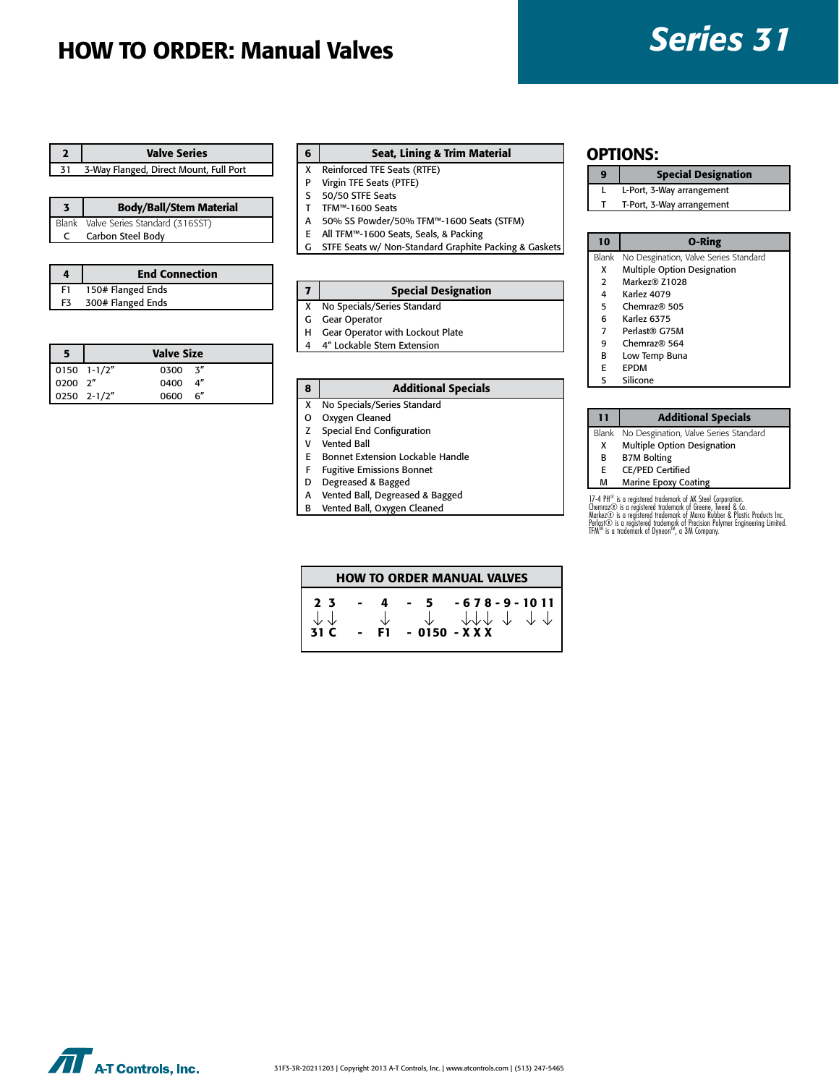# HOW TO ORDER: Manual Valves *Series 31*

|    | <b>Valve Series</b>                    |
|----|----------------------------------------|
| 31 | 3-Way Flanged, Direct Mount, Full Port |

| <b>Body/Ball/Stem Material</b>       |
|--------------------------------------|
| Blank Valve Series Standard (316SST) |
| Carbon Steel Body                    |

|    | <b>End Connection</b> |
|----|-----------------------|
| F1 | 150# Flanged Ends     |
| F3 | 300# Flanged Ends     |

|                                                                                 |               | <b>Valve Size</b> |  |
|---------------------------------------------------------------------------------|---------------|-------------------|--|
| $\begin{array}{ c c c } \hline 0150 & 1-1/2'' \\ \hline 0200 & 2'' \end{array}$ |               | $0300 - 3$ "      |  |
|                                                                                 |               | 0400 4"           |  |
|                                                                                 | $0250$ 2-1/2" | 0600 6"           |  |

### 6 Seat, Lining & Trim Material

- X Reinforced TFE Seats (RTFE)
- P Virgin TFE Seats (PTFE)
- S 50/50 STFE Seats T TFM™-1600 Seats
- A 50% SS Powder/50% TFM™-1600 Seats (STFM)
- E All TFM™-1600 Seats, Seals, & Packing
- G STFE Seats w/ Non-Standard Graphite Packing & Gaskets

| 7 | <b>Special Designation</b>    |
|---|-------------------------------|
|   | X No Specials/Series Standard |
|   | G Gear Operator               |

- $G$   $G$ H Gear Operator with Lockout Plate
- 4 4" Lockable Stem Extension

### 8 | Additional Specials

- X No Specials/Series Standard
- O Oxygen Cleaned
- Z Special End Configuration
- V Vented Ball
- E Bonnet Extension Lockable Handle
- F Fugitive Emissions Bonnet
- D Degreased & Bagged
- A Vented Ball, Degreased & Bagged
- B Vented Ball, Oxygen Cleaned
	-

| <b>OPTIONS:</b> |  |
|-----------------|--|
|-----------------|--|

### 9 Special Designation

- L L-Port, 3-Way arrangement
- T T-Port, 3-Way arrangement

| 10             | <b>O-Ring</b>                         |
|----------------|---------------------------------------|
| <b>Blank</b>   | No Desgination, Valve Series Standard |
| x              | <b>Multiple Option Designation</b>    |
| $\overline{2}$ | Markez® Z1028                         |
| 4              | Karlez 4079                           |
| 5              | Chemraz® 505                          |
| 6              | Karlez 6375                           |
| 7              | Perlast® G75M                         |

- 9 Chemraz® 564
- B Low Temp Buna
- E EPDM
- S Silicone

### 11 | Additional Specials Blank No Desgination, Valve Series Standard

- X Multiple Option Designation
- B B7M Bolting
- E CE/PED Certified
- M Marine Epoxy Coating

17-4 PH® is a registered trademark of AK Steel Corporation.<br>Chemraz© is a registered trademark of Greene, Tweed & Co.<br>Markez© is a registered trademark of Marco Rubber & Plastic Products Inc.<br>Perlast© is a registered trade

|                                                                 | <b>HOW TO ORDER MANUAL VALVES</b> |                         |                |  |                                                                                                    |
|-----------------------------------------------------------------|-----------------------------------|-------------------------|----------------|--|----------------------------------------------------------------------------------------------------|
| 2 <sub>3</sub><br>$\frac{\downarrow \downarrow}{\mathbf{31}}$ c | $\sim$                            | $\overline{\mathbf{A}}$ | $-5$           |  | $-678 - 9 - 1011$<br>$\downarrow$ $\downarrow$ $\downarrow$ $\downarrow$ $\downarrow$ $\downarrow$ |
|                                                                 | $\sim 10^{-11}$                   | F1                      | $-0150 - XXXX$ |  |                                                                                                    |